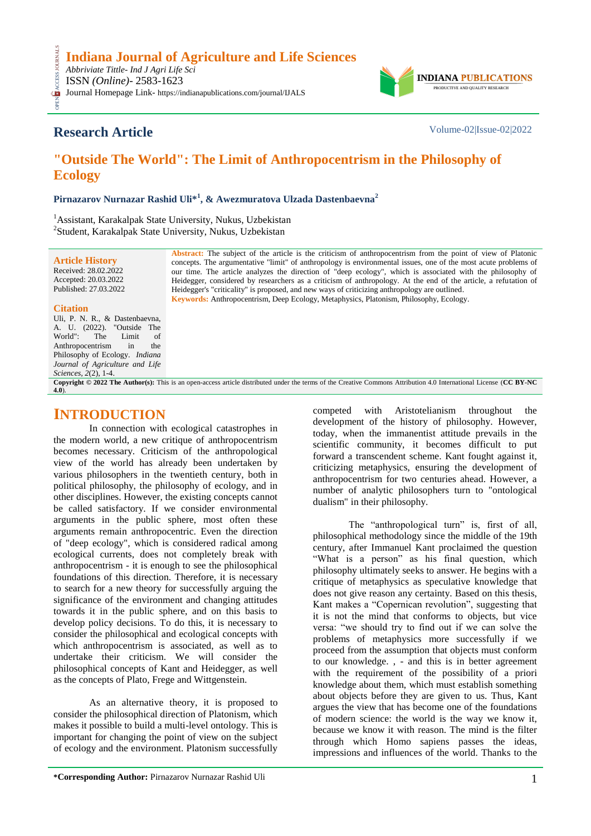

## **Research Article** Volume-02|Issue-02|2022

**CESS** 

# **"Outside The World": The Limit of Anthropocentrism in the Philosophy of Ecology**

**Pirnazarov Nurnazar Rashid Uli\*<sup>1</sup> , & Awezmuratova Ulzada Dastenbaevna<sup>2</sup>**

<sup>1</sup> Assistant, Karakalpak State University, Nukus, Uzbekistan 2 Student, Karakalpak State University, Nukus, Uzbekistan

> **Abstract:** The subject of the article is the criticism of anthropocentrism from the point of view of Platonic concepts. The argumentative "limit" of anthropology is environmental issues, one of the most acute problems of our time. The article analyzes the direction of "deep ecology", which is associated with the philosophy of Heidegger, considered by researchers as a criticism of anthropology. At the end of the article, a refutation of Heidegger's "criticality" is proposed, and new ways of criticizing anthropology are outlined. **Keywords:** Anthropocentrism, Deep Ecology, Metaphysics, Platonism, Philosophy, Ecology.

#### **Citation**

**[4.0](https://creativecommons.org/licenses/by-nc/4.0/)**).

**Article History** Received: 28.02.2022 Accepted: 20.03.2022 Published: 27.03.2022

Uli, P. N. R., & Dastenbaevna, A. U. (2022). "Outside The World": The Limit of<br>Anthropocentrism in the Anthropocentrism Philosophy of Ecology. *Indiana Journal of Agriculture and Life Sciences, 2*(2), 1-4. **Copyright © 2022 The Author(s):** This is an open-access article distributed under the terms of the Creative Commons Attribution 4.0 International License (**[CC BY-NC](https://creativecommons.org/licenses/by-nc/4.0/)** 

### **INTRODUCTION**

In connection with ecological catastrophes in the modern world, a new critique of anthropocentrism becomes necessary. Criticism of the anthropological view of the world has already been undertaken by various philosophers in the twentieth century, both in political philosophy, the philosophy of ecology, and in other disciplines. However, the existing concepts cannot be called satisfactory. If we consider environmental arguments in the public sphere, most often these arguments remain anthropocentric. Even the direction of "deep ecology", which is considered radical among ecological currents, does not completely break with anthropocentrism - it is enough to see the philosophical foundations of this direction. Therefore, it is necessary to search for a new theory for successfully arguing the significance of the environment and changing attitudes towards it in the public sphere, and on this basis to develop policy decisions. To do this, it is necessary to consider the philosophical and ecological concepts with which anthropocentrism is associated, as well as to undertake their criticism. We will consider the philosophical concepts of Kant and Heidegger, as well as the concepts of Plato, Frege and Wittgenstein.

As an alternative theory, it is proposed to consider the philosophical direction of Platonism, which makes it possible to build a multi-level ontology. This is important for changing the point of view on the subject of ecology and the environment. Platonism successfully

competed with Aristotelianism throughout the development of the history of philosophy. However, today, when the immanentist attitude prevails in the scientific community, it becomes difficult to put forward a transcendent scheme. Kant fought against it, criticizing metaphysics, ensuring the development of anthropocentrism for two centuries ahead. However, a number of analytic philosophers turn to "ontological dualism" in their philosophy.

The "anthropological turn" is, first of all, philosophical methodology since the middle of the 19th century, after Immanuel Kant proclaimed the question "What is a person" as his final question, which philosophy ultimately seeks to answer. He begins with a critique of metaphysics as speculative knowledge that does not give reason any certainty. Based on this thesis, Kant makes a "Copernican revolution", suggesting that it is not the mind that conforms to objects, but vice versa: "we should try to find out if we can solve the problems of metaphysics more successfully if we proceed from the assumption that objects must conform to our knowledge. , - and this is in better agreement with the requirement of the possibility of a priori knowledge about them, which must establish something about objects before they are given to us. Thus, Kant argues the view that has become one of the foundations of modern science: the world is the way we know it, because we know it with reason. The mind is the filter through which Homo sapiens passes the ideas, impressions and influences of the world. Thanks to the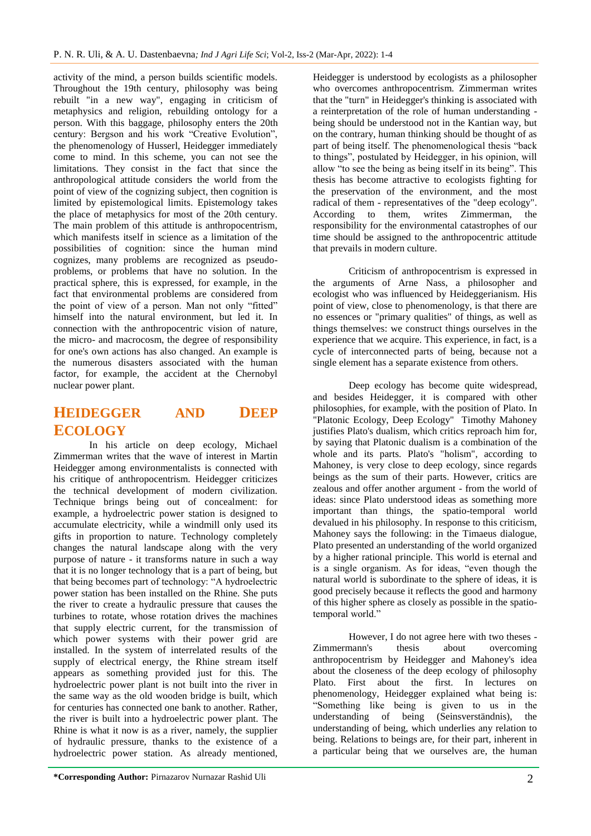activity of the mind, a person builds scientific models. Throughout the 19th century, philosophy was being rebuilt "in a new way", engaging in criticism of metaphysics and religion, rebuilding ontology for a person. With this baggage, philosophy enters the 20th century: Bergson and his work "Creative Evolution", the phenomenology of Husserl, Heidegger immediately come to mind. In this scheme, you can not see the limitations. They consist in the fact that since the anthropological attitude considers the world from the point of view of the cognizing subject, then cognition is limited by epistemological limits. Epistemology takes the place of metaphysics for most of the 20th century. The main problem of this attitude is anthropocentrism, which manifests itself in science as a limitation of the possibilities of cognition: since the human mind cognizes, many problems are recognized as pseudoproblems, or problems that have no solution. In the practical sphere, this is expressed, for example, in the fact that environmental problems are considered from the point of view of a person. Man not only "fitted" himself into the natural environment, but led it. In connection with the anthropocentric vision of nature, the micro- and macrocosm, the degree of responsibility for one's own actions has also changed. An example is the numerous disasters associated with the human factor, for example, the accident at the Chernobyl nuclear power plant.

# **HEIDEGGER AND DEEP ECOLOGY**

In his article on deep ecology, Michael Zimmerman writes that the wave of interest in Martin Heidegger among environmentalists is connected with his critique of anthropocentrism. Heidegger criticizes the technical development of modern civilization. Technique brings being out of concealment: for example, a hydroelectric power station is designed to accumulate electricity, while a windmill only used its gifts in proportion to nature. Technology completely changes the natural landscape along with the very purpose of nature - it transforms nature in such a way that it is no longer technology that is a part of being, but that being becomes part of technology: "A hydroelectric power station has been installed on the Rhine. She puts the river to create a hydraulic pressure that causes the turbines to rotate, whose rotation drives the machines that supply electric current, for the transmission of which power systems with their power grid are installed. In the system of interrelated results of the supply of electrical energy, the Rhine stream itself appears as something provided just for this. The hydroelectric power plant is not built into the river in the same way as the old wooden bridge is built, which for centuries has connected one bank to another. Rather, the river is built into a hydroelectric power plant. The Rhine is what it now is as a river, namely, the supplier of hydraulic pressure, thanks to the existence of a hydroelectric power station. As already mentioned,

Heidegger is understood by ecologists as a philosopher who overcomes anthropocentrism. Zimmerman writes that the "turn" in Heidegger's thinking is associated with a reinterpretation of the role of human understanding being should be understood not in the Kantian way, but on the contrary, human thinking should be thought of as part of being itself. The phenomenological thesis "back to things", postulated by Heidegger, in his opinion, will allow "to see the being as being itself in its being". This thesis has become attractive to ecologists fighting for the preservation of the environment, and the most radical of them - representatives of the "deep ecology". According to them, writes Zimmerman, the responsibility for the environmental catastrophes of our time should be assigned to the anthropocentric attitude that prevails in modern culture.

Criticism of anthropocentrism is expressed in the arguments of Arne Nass, a philosopher and ecologist who was influenced by Heideggerianism. His point of view, close to phenomenology, is that there are no essences or "primary qualities" of things, as well as things themselves: we construct things ourselves in the experience that we acquire. This experience, in fact, is a cycle of interconnected parts of being, because not a single element has a separate existence from others.

Deep ecology has become quite widespread, and besides Heidegger, it is compared with other philosophies, for example, with the position of Plato. In "Platonic Ecology, Deep Ecology" Timothy Mahoney justifies Plato's dualism, which critics reproach him for, by saying that Platonic dualism is a combination of the whole and its parts. Plato's "holism", according to Mahoney, is very close to deep ecology, since regards beings as the sum of their parts. However, critics are zealous and offer another argument - from the world of ideas: since Plato understood ideas as something more important than things, the spatio-temporal world devalued in his philosophy. In response to this criticism, Mahoney says the following: in the Timaeus dialogue, Plato presented an understanding of the world organized by a higher rational principle. This world is eternal and is a single organism. As for ideas, "even though the natural world is subordinate to the sphere of ideas, it is good precisely because it reflects the good and harmony of this higher sphere as closely as possible in the spatiotemporal world."

However, I do not agree here with two theses - Zimmermann's thesis about overcoming anthropocentrism by Heidegger and Mahoney's idea about the closeness of the deep ecology of philosophy Plato. First about the first. In lectures on phenomenology, Heidegger explained what being is: "Something like being is given to us in the understanding of being (Seinsverständnis), the understanding of being, which underlies any relation to being. Relations to beings are, for their part, inherent in a particular being that we ourselves are, the human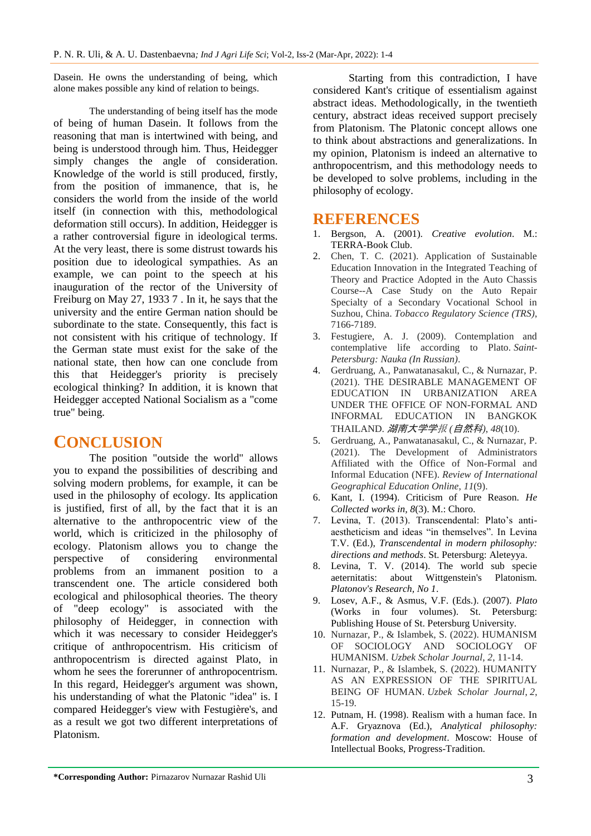Dasein. He owns the understanding of being, which alone makes possible any kind of relation to beings.

The understanding of being itself has the mode of being of human Dasein. It follows from the reasoning that man is intertwined with being, and being is understood through him. Thus, Heidegger simply changes the angle of consideration. Knowledge of the world is still produced, firstly, from the position of immanence, that is, he considers the world from the inside of the world itself (in connection with this, methodological deformation still occurs). In addition, Heidegger is a rather controversial figure in ideological terms. At the very least, there is some distrust towards his position due to ideological sympathies. As an example, we can point to the speech at his inauguration of the rector of the University of Freiburg on May 27, 1933 7 . In it, he says that the university and the entire German nation should be subordinate to the state. Consequently, this fact is not consistent with his critique of technology. If the German state must exist for the sake of the national state, then how can one conclude from this that Heidegger's priority is precisely ecological thinking? In addition, it is known that Heidegger accepted National Socialism as a "come true" being.

# **CONCLUSION**

The position "outside the world" allows you to expand the possibilities of describing and solving modern problems, for example, it can be used in the philosophy of ecology. Its application is justified, first of all, by the fact that it is an alternative to the anthropocentric view of the world, which is criticized in the philosophy of ecology. Platonism allows you to change the perspective of considering environmental problems from an immanent position to a transcendent one. The article considered both ecological and philosophical theories. The theory of "deep ecology" is associated with the philosophy of Heidegger, in connection with which it was necessary to consider Heidegger's critique of anthropocentrism. His criticism of anthropocentrism is directed against Plato, in whom he sees the forerunner of anthropocentrism. In this regard, Heidegger's argument was shown, his understanding of what the Platonic "idea" is. I compared Heidegger's view with Festugière's, and as a result we got two different interpretations of Platonism.

Starting from this contradiction, I have considered Kant's critique of essentialism against abstract ideas. Methodologically, in the twentieth century, abstract ideas received support precisely from Platonism. The Platonic concept allows one to think about abstractions and generalizations. In my opinion, Platonism is indeed an alternative to anthropocentrism, and this methodology needs to be developed to solve problems, including in the philosophy of ecology.

## **REFERENCES**

- 1. Bergson, A. (2001). *Creative evolution*. M.: TERRA-Book Club.
- 2. Chen, T. C. (2021). Application of Sustainable Education Innovation in the Integrated Teaching of Theory and Practice Adopted in the Auto Chassis Course--A Case Study on the Auto Repair Specialty of a Secondary Vocational School in Suzhou, China. *Tobacco Regulatory Science (TRS)*, 7166-7189.
- 3. Festugiere, A. J. (2009). Contemplation and contemplative life according to Plato. *Saint-Petersburg: Nauka (In Russian)*.
- 4. Gerdruang, A., Panwatanasakul, C., & Nurnazar, P. (2021). THE DESIRABLE MANAGEMENT OF EDUCATION IN URBANIZATION AREA UNDER THE OFFICE OF NON-FORMAL AND INFORMAL EDUCATION IN BANGKOK THAILAND. 湖南大学学报 *(*自然科*)*, *48*(10).
- 5. Gerdruang, A., Panwatanasakul, C., & Nurnazar, P. (2021). The Development of Administrators Affiliated with the Office of Non-Formal and Informal Education (NFE). *Review of International Geographical Education Online*, *11*(9).
- 6. Kant, I. (1994). Criticism of Pure Reason. *He Collected works in, 8*(3). M.: Choro.
- 7. Levina, T. (2013). Transcendental: Plato's antiaestheticism and ideas "in themselves". In Levina T.V. (Ed.), *Transcendental in modern philosophy: directions and methods*. St. Petersburg: Aleteyya.
- 8. Levina, T. V. (2014). The world sub specie aeternitatis: about Wittgenstein's Platonism. *Platonov's Research, No 1*.
- 9. Losev, A.F., & Asmus, V.F. (Eds.). (2007). *Plato* (Works in four volumes). St. Petersburg: Publishing House of St. Petersburg University.
- 10. Nurnazar, P., & Islambek, S. (2022). HUMANISM OF SOCIOLOGY AND SOCIOLOGY OF HUMANISM. *Uzbek Scholar Journal*, *2*, 11-14.
- 11. Nurnazar, P., & Islambek, S. (2022). HUMANITY AS AN EXPRESSION OF THE SPIRITUAL BEING OF HUMAN. *Uzbek Scholar Journal*, *2*, 15-19.
- 12. Putnam, H. (1998). Realism with a human face. In A.F. Gryaznova (Ed.), *Analytical philosophy: formation and development*. Moscow: House of Intellectual Books, Progress-Tradition.